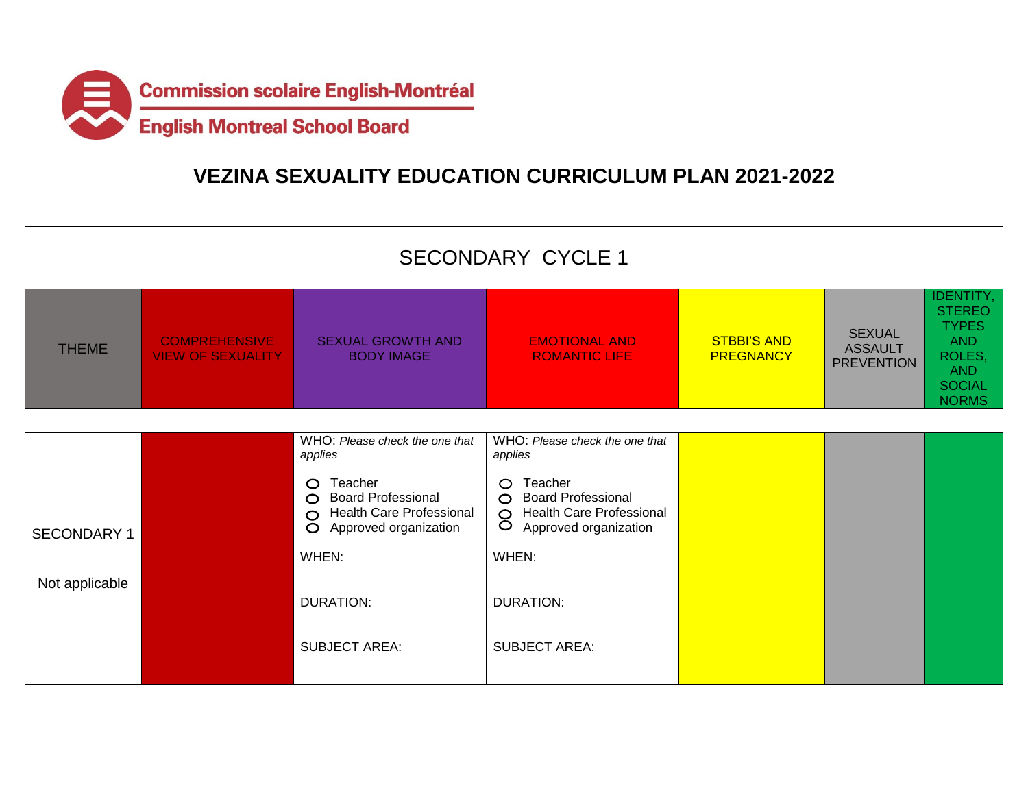

## **VEZINA SEXUALITY EDUCATION CURRICULUM PLAN 2021-2022**

| <b>SECONDARY CYCLE 1</b> |                                                  |                                                                                                                              |                                                                                                                                              |                                        |                                                      |                                                                                                                          |  |  |  |
|--------------------------|--------------------------------------------------|------------------------------------------------------------------------------------------------------------------------------|----------------------------------------------------------------------------------------------------------------------------------------------|----------------------------------------|------------------------------------------------------|--------------------------------------------------------------------------------------------------------------------------|--|--|--|
| <b>THEME</b>             | <b>COMPREHENSIVE</b><br><b>VIEW OF SEXUALITY</b> | <b>SEXUAL GROWTH AND</b><br><b>BODY IMAGE</b>                                                                                | <b>EMOTIONAL AND</b><br><b>ROMANTIC LIFE</b>                                                                                                 | <b>STBBI'S AND</b><br><b>PREGNANCY</b> | <b>SEXUAL</b><br><b>ASSAULT</b><br><b>PREVENTION</b> | <b>IDENTITY,</b><br><b>STEREO</b><br><b>TYPES</b><br><b>AND</b><br>ROLES,<br><b>AND</b><br><b>SOCIAL</b><br><b>NORMS</b> |  |  |  |
|                          |                                                  |                                                                                                                              |                                                                                                                                              |                                        |                                                      |                                                                                                                          |  |  |  |
|                          |                                                  | WHO: Please check the one that<br>applies                                                                                    | WHO: Please check the one that<br>applies                                                                                                    |                                        |                                                      |                                                                                                                          |  |  |  |
| <b>SECONDARY 1</b>       |                                                  | Teacher<br>$\circ$<br>O Board Professional<br><b>Health Care Professional</b><br>$\circ$<br>Approved organization<br>$\circ$ | Teacher<br>$\circ$<br><b>Board Professional</b><br>$\circ$<br><b>Health Care Professional</b><br>$\circ$<br>$\circ$<br>Approved organization |                                        |                                                      |                                                                                                                          |  |  |  |
|                          |                                                  | WHEN:                                                                                                                        | WHEN:                                                                                                                                        |                                        |                                                      |                                                                                                                          |  |  |  |
| Not applicable           |                                                  | <b>DURATION:</b>                                                                                                             | <b>DURATION:</b>                                                                                                                             |                                        |                                                      |                                                                                                                          |  |  |  |
|                          |                                                  | <b>SUBJECT AREA:</b>                                                                                                         | <b>SUBJECT AREA:</b>                                                                                                                         |                                        |                                                      |                                                                                                                          |  |  |  |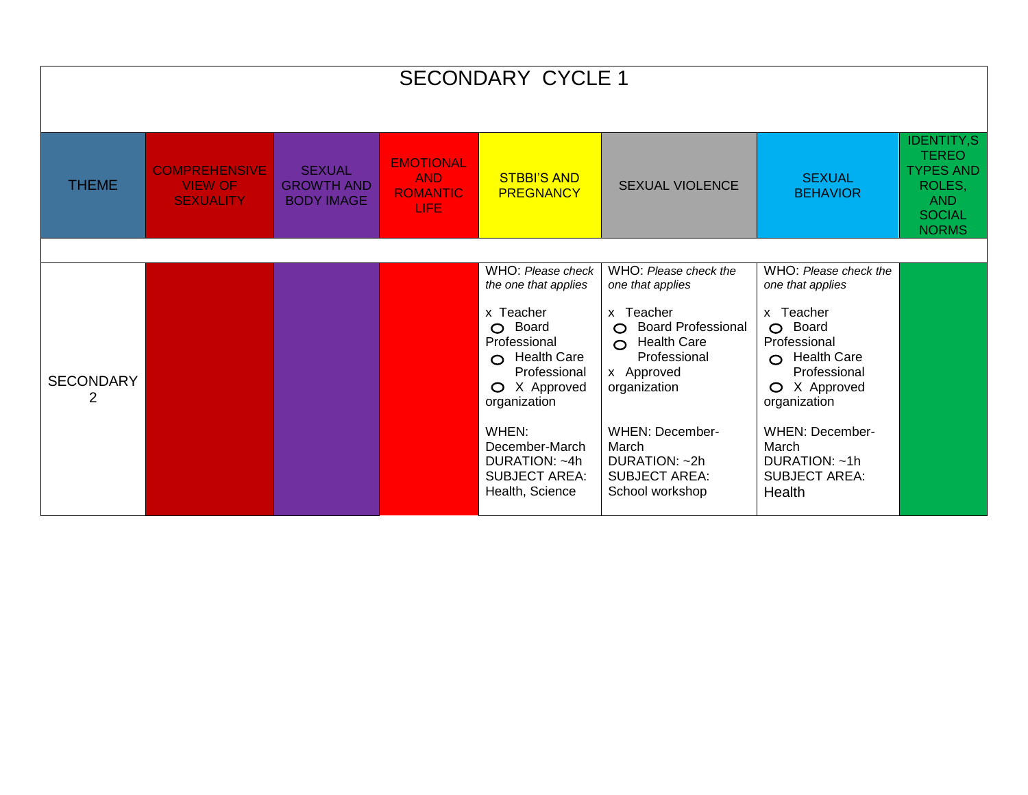| <b>SECONDARY CYCLE 1</b> |                                                            |                                                         |                                                           |                                                                                                                         |                                                                                                                         |                                                                                                                         |                                                                                                                |  |  |
|--------------------------|------------------------------------------------------------|---------------------------------------------------------|-----------------------------------------------------------|-------------------------------------------------------------------------------------------------------------------------|-------------------------------------------------------------------------------------------------------------------------|-------------------------------------------------------------------------------------------------------------------------|----------------------------------------------------------------------------------------------------------------|--|--|
| <b>THEME</b>             | <b>COMPREHENSIVE</b><br><b>VIEW OF</b><br><b>SEXUALITY</b> | <b>SEXUAL</b><br><b>GROWTH AND</b><br><b>BODY IMAGE</b> | <b>EMOTIONAL</b><br><b>AND</b><br><b>ROMANTIC</b><br>LIFE | <b>STBBI'S AND</b><br><b>PREGNANCY</b>                                                                                  | <b>SEXUAL VIOLENCE</b>                                                                                                  | <b>SEXUAL</b><br><b>BEHAVIOR</b>                                                                                        | <b>IDENTITY,S</b><br><b>TEREO</b><br><b>TYPES AND</b><br>ROLES,<br><b>AND</b><br><b>SOCIAL</b><br><b>NORMS</b> |  |  |
|                          |                                                            |                                                         |                                                           |                                                                                                                         |                                                                                                                         |                                                                                                                         |                                                                                                                |  |  |
|                          |                                                            |                                                         |                                                           | WHO: Please check<br>the one that applies                                                                               | WHO: Please check the<br>one that applies                                                                               | WHO: Please check the<br>one that applies                                                                               |                                                                                                                |  |  |
| <b>SECONDARY</b><br>2    |                                                            |                                                         |                                                           | x Teacher<br>Board<br>$\circ$<br>Professional<br>$\bigcirc$ Health Care<br>Professional<br>O X Approved<br>organization | x Teacher<br><b>Board Professional</b><br>$\circ$<br>$\Omega$ Health Care<br>Professional<br>x Approved<br>organization | x Teacher<br>Board<br>$\circ$<br>Professional<br>$\bigcirc$ Health Care<br>Professional<br>O X Approved<br>organization |                                                                                                                |  |  |
|                          |                                                            |                                                         |                                                           | WHEN:<br>December-March<br>DURATION: ~4h<br><b>SUBJECT AREA:</b><br>Health, Science                                     | <b>WHEN: December-</b><br>March<br>DURATION: ~2h<br><b>SUBJECT AREA:</b><br>School workshop                             | <b>WHEN: December-</b><br>March<br>DURATION: ~1h<br><b>SUBJECT AREA:</b><br>Health                                      |                                                                                                                |  |  |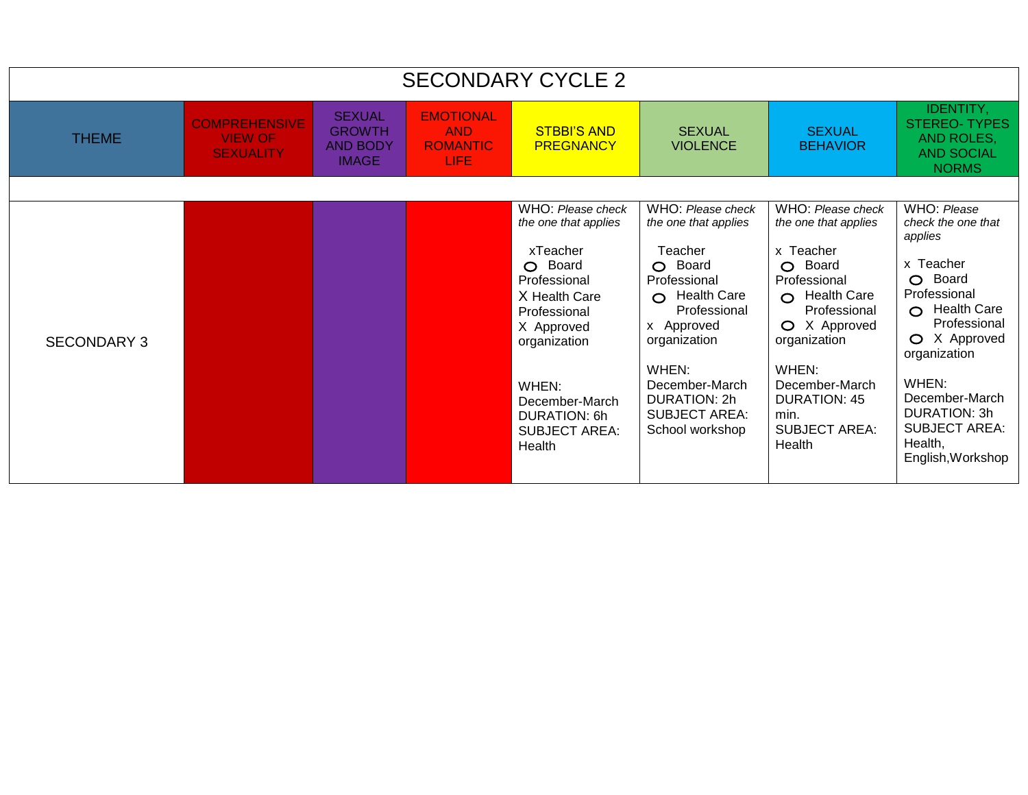| <b>SECONDARY CYCLE 2</b> |                                                            |                                                                   |                                                            |                                                                                                                                                                                                                              |                                                                                                                                                                                                                                             |                                                                                                                                                                                                                                                                           |                                                                                                                                                                                                                                                                                 |  |
|--------------------------|------------------------------------------------------------|-------------------------------------------------------------------|------------------------------------------------------------|------------------------------------------------------------------------------------------------------------------------------------------------------------------------------------------------------------------------------|---------------------------------------------------------------------------------------------------------------------------------------------------------------------------------------------------------------------------------------------|---------------------------------------------------------------------------------------------------------------------------------------------------------------------------------------------------------------------------------------------------------------------------|---------------------------------------------------------------------------------------------------------------------------------------------------------------------------------------------------------------------------------------------------------------------------------|--|
| <b>THEME</b>             | <b>COMPREHENSIVE</b><br><b>VIEW OF</b><br><b>SEXUALITY</b> | <b>SEXUAL</b><br><b>GROWTH</b><br><b>AND BODY</b><br><b>IMAGE</b> | <b>EMOTIONAL</b><br><b>AND</b><br><b>ROMANTIC</b><br>LIFE. | <b>STBBI'S AND</b><br><b>PREGNANCY</b>                                                                                                                                                                                       | <b>SEXUAL</b><br><b>VIOLENCE</b>                                                                                                                                                                                                            | <b>SEXUAL</b><br><b>BEHAVIOR</b>                                                                                                                                                                                                                                          | <b>IDENTITY,</b><br><b>STEREO-TYPES</b><br>AND ROLES,<br><b>AND SOCIAL</b><br><b>NORMS</b>                                                                                                                                                                                      |  |
| <b>SECONDARY 3</b>       |                                                            |                                                                   |                                                            | WHO: Please check<br>the one that applies<br>xTeacher<br>O Board<br>Professional<br>X Health Care<br>Professional<br>X Approved<br>organization<br>WHEN:<br>December-March<br>DURATION: 6h<br><b>SUBJECT AREA:</b><br>Health | WHO: Please check<br>the one that applies<br>Teacher<br>O Board<br>Professional<br>O Health Care<br>Professional<br>x Approved<br>organization<br>WHEN:<br>December-March<br><b>DURATION: 2h</b><br><b>SUBJECT AREA:</b><br>School workshop | WHO: Please check<br>the one that applies<br>x Teacher<br>Board<br>$\Omega$<br>Professional<br><b>Health Care</b><br>$\Omega$<br>Professional<br>O X Approved<br>organization<br>WHEN:<br>December-March<br><b>DURATION: 45</b><br>min.<br><b>SUBJECT AREA:</b><br>Health | WHO: Please<br>check the one that<br>applies<br>x Teacher<br>Board<br>$\circ$<br>Professional<br>$\Omega$ Health Care<br>Professional<br>O X Approved<br>organization<br>WHEN:<br>December-March<br><b>DURATION: 3h</b><br><b>SUBJECT AREA:</b><br>Health,<br>English, Workshop |  |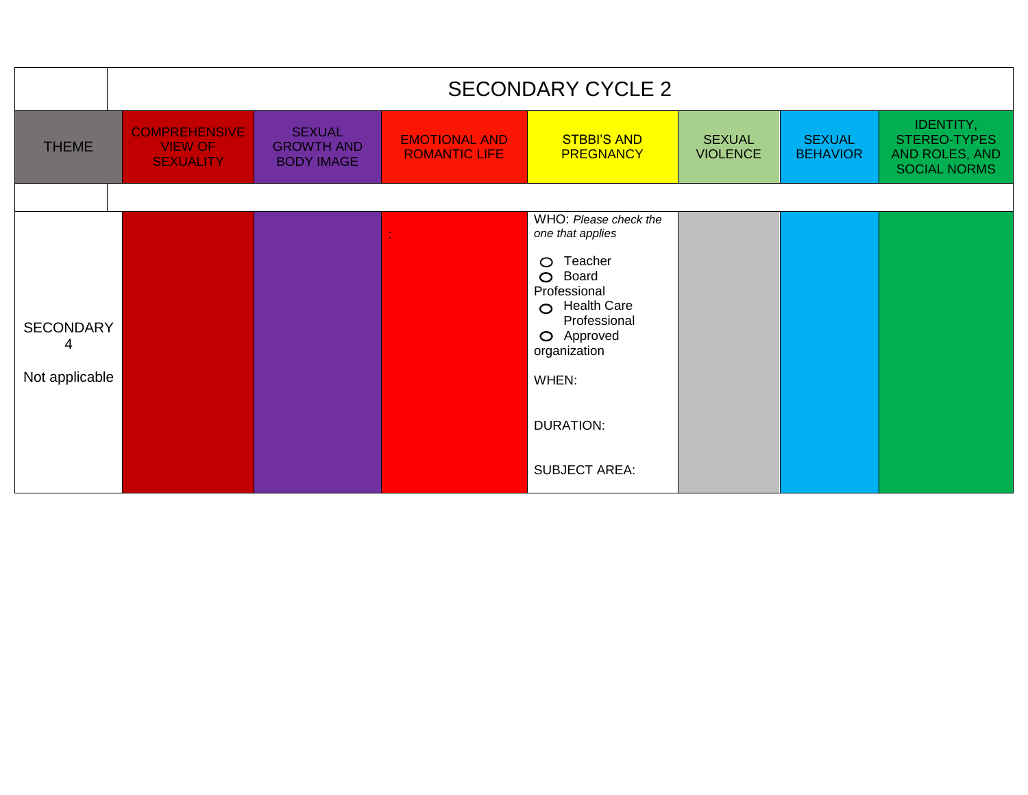|                                         | <b>SECONDARY CYCLE 2</b>                                   |                                                         |                                              |                                                                                                                                                                                                                                         |                                  |                                  |                                                                    |  |
|-----------------------------------------|------------------------------------------------------------|---------------------------------------------------------|----------------------------------------------|-----------------------------------------------------------------------------------------------------------------------------------------------------------------------------------------------------------------------------------------|----------------------------------|----------------------------------|--------------------------------------------------------------------|--|
| <b>THEME</b>                            | <b>COMPREHENSIVE</b><br><b>VIEW OF</b><br><b>SEXUALITY</b> | <b>SEXUAL</b><br><b>GROWTH AND</b><br><b>BODY IMAGE</b> | <b>EMOTIONAL AND</b><br><b>ROMANTIC LIFE</b> | <b>STBBI'S AND</b><br><b>PREGNANCY</b>                                                                                                                                                                                                  | <b>SEXUAL</b><br><b>VIOLENCE</b> | <b>SEXUAL</b><br><b>BEHAVIOR</b> | IDENTITY,<br>STEREO-TYPES<br>AND ROLES, AND<br><b>SOCIAL NORMS</b> |  |
|                                         |                                                            |                                                         |                                              |                                                                                                                                                                                                                                         |                                  |                                  |                                                                    |  |
| <b>SECONDARY</b><br>4<br>Not applicable |                                                            |                                                         |                                              | WHO: Please check the<br>one that applies<br>Teacher<br>$\circ$<br>Board<br>$\circ$<br>Professional<br><b>Health Care</b><br>$\circ$<br>Professional<br>O Approved<br>organization<br>WHEN:<br><b>DURATION:</b><br><b>SUBJECT AREA:</b> |                                  |                                  |                                                                    |  |